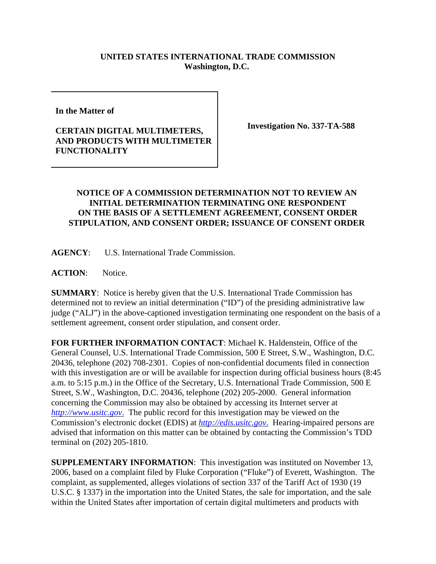## **UNITED STATES INTERNATIONAL TRADE COMMISSION Washington, D.C.**

**In the Matter of** 

## **CERTAIN DIGITAL MULTIMETERS, AND PRODUCTS WITH MULTIMETER FUNCTIONALITY**

**Investigation No. 337-TA-588**

## **NOTICE OF A COMMISSION DETERMINATION NOT TO REVIEW AN INITIAL DETERMINATION TERMINATING ONE RESPONDENT ON THE BASIS OF A SETTLEMENT AGREEMENT, CONSENT ORDER STIPULATION, AND CONSENT ORDER; ISSUANCE OF CONSENT ORDER**

**AGENCY**: U.S. International Trade Commission.

**ACTION**: Notice.

**SUMMARY**: Notice is hereby given that the U.S. International Trade Commission has determined not to review an initial determination ("ID") of the presiding administrative law judge ("ALJ") in the above-captioned investigation terminating one respondent on the basis of a settlement agreement, consent order stipulation, and consent order.

**FOR FURTHER INFORMATION CONTACT**: Michael K. Haldenstein, Office of the General Counsel, U.S. International Trade Commission, 500 E Street, S.W., Washington, D.C. 20436, telephone (202) 708-2301. Copies of non-confidential documents filed in connection with this investigation are or will be available for inspection during official business hours (8:45) a.m. to 5:15 p.m.) in the Office of the Secretary, U.S. International Trade Commission, 500 E Street, S.W., Washington, D.C. 20436, telephone (202) 205-2000. General information concerning the Commission may also be obtained by accessing its Internet server at *http://www.usitc.gov*. The public record for this investigation may be viewed on the Commission's electronic docket (EDIS) at *http://edis.usitc.gov*. Hearing-impaired persons are advised that information on this matter can be obtained by contacting the Commission's TDD terminal on (202) 205-1810.

**SUPPLEMENTARY INFORMATION**: This investigation was instituted on November 13, 2006, based on a complaint filed by Fluke Corporation ("Fluke") of Everett, Washington. The complaint, as supplemented, alleges violations of section 337 of the Tariff Act of 1930 (19 U.S.C. § 1337) in the importation into the United States, the sale for importation, and the sale within the United States after importation of certain digital multimeters and products with